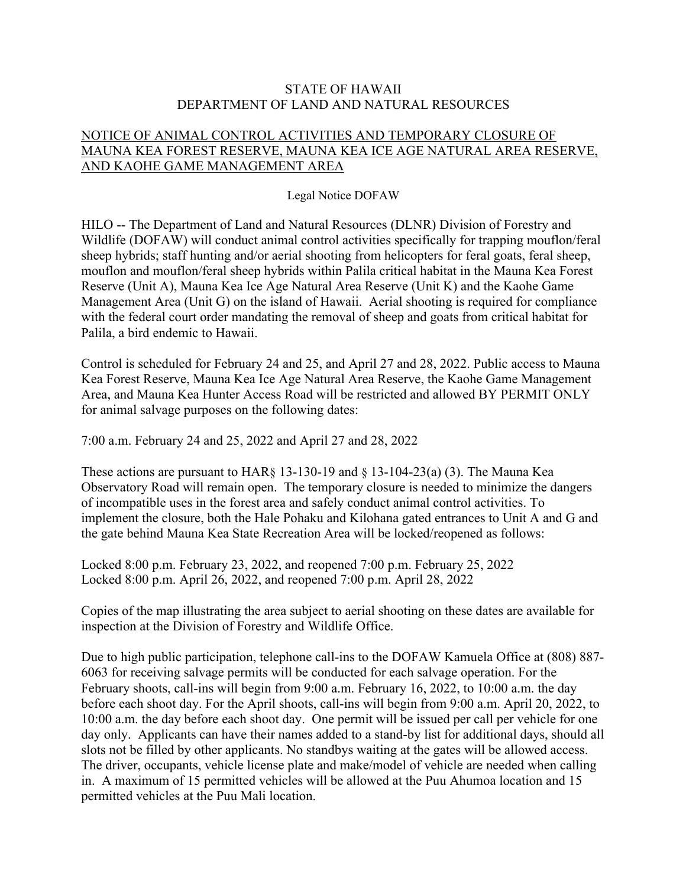## STATE OF HAWAII DEPARTMENT OF LAND AND NATURAL RESOURCES

## NOTICE OF ANIMAL CONTROL ACTIVITIES AND TEMPORARY CLOSURE OF MAUNA KEA FOREST RESERVE, MAUNA KEA ICE AGE NATURAL AREA RESERVE, AND KAOHE GAME MANAGEMENT AREA

## Legal Notice DOFAW

HILO -- The Department of Land and Natural Resources (DLNR) Division of Forestry and Wildlife (DOFAW) will conduct animal control activities specifically for trapping mouflon/feral sheep hybrids; staff hunting and/or aerial shooting from helicopters for feral goats, feral sheep, mouflon and mouflon/feral sheep hybrids within Palila critical habitat in the Mauna Kea Forest Reserve (Unit A), Mauna Kea Ice Age Natural Area Reserve (Unit K) and the Kaohe Game Management Area (Unit G) on the island of Hawaii. Aerial shooting is required for compliance with the federal court order mandating the removal of sheep and goats from critical habitat for Palila, a bird endemic to Hawaii.

Control is scheduled for February 24 and 25, and April 27 and 28, 2022. Public access to Mauna Kea Forest Reserve, Mauna Kea Ice Age Natural Area Reserve, the Kaohe Game Management Area, and Mauna Kea Hunter Access Road will be restricted and allowed BY PERMIT ONLY for animal salvage purposes on the following dates:

7:00 a.m. February 24 and 25, 2022 and April 27 and 28, 2022

These actions are pursuant to  $HAR\S$  13-130-19 and  $\S$  13-104-23(a) (3). The Mauna Kea Observatory Road will remain open. The temporary closure is needed to minimize the dangers of incompatible uses in the forest area and safely conduct animal control activities. To implement the closure, both the Hale Pohaku and Kilohana gated entrances to Unit A and G and the gate behind Mauna Kea State Recreation Area will be locked/reopened as follows:

Locked 8:00 p.m. February 23, 2022, and reopened 7:00 p.m. February 25, 2022 Locked 8:00 p.m. April 26, 2022, and reopened 7:00 p.m. April 28, 2022

Copies of the map illustrating the area subject to aerial shooting on these dates are available for inspection at the Division of Forestry and Wildlife Office.

Due to high public participation, telephone call-ins to the DOFAW Kamuela Office at (808) 887- 6063 for receiving salvage permits will be conducted for each salvage operation. For the February shoots, call-ins will begin from 9:00 a.m. February 16, 2022, to 10:00 a.m. the day before each shoot day. For the April shoots, call-ins will begin from 9:00 a.m. April 20, 2022, to 10:00 a.m. the day before each shoot day. One permit will be issued per call per vehicle for one day only. Applicants can have their names added to a stand-by list for additional days, should all slots not be filled by other applicants. No standbys waiting at the gates will be allowed access. The driver, occupants, vehicle license plate and make/model of vehicle are needed when calling in. A maximum of 15 permitted vehicles will be allowed at the Puu Ahumoa location and 15 permitted vehicles at the Puu Mali location.